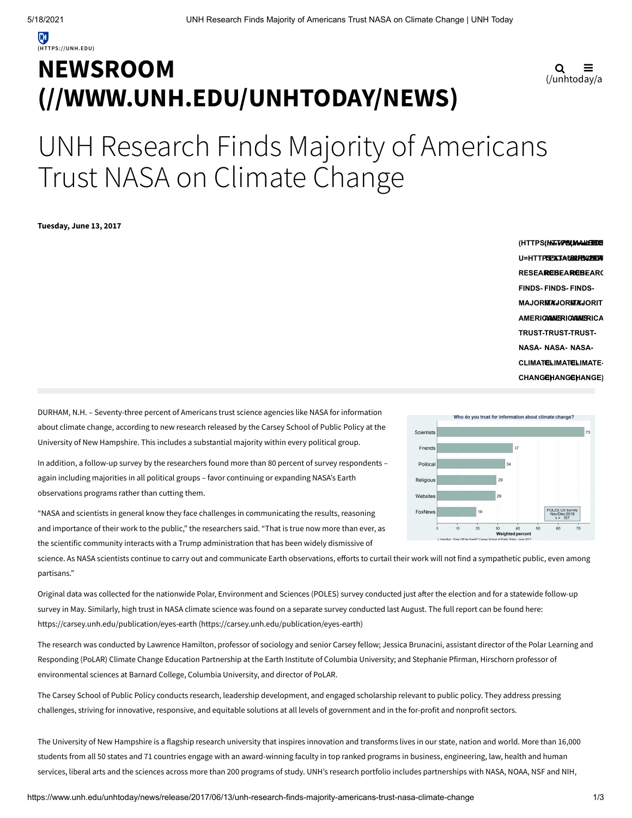## **NEWSROOM [\(//WWW.UNH.EDU/UNHTODAY/NEWS\)](https://www.unh.edu/unhtoday/news)**

$$
\mathbf{Q} \equiv_{\text{(unhtoday/a)}}
$$

# UNH Research Finds Majority of Americans Trust NASA on Climate Change

**Tuesday, June 13, 2017**

**(HTTPS://WWW.FACEBO (MAILTO:? (HTTPS (HATTPS (MAANE HEDE)<br>U=HTTPSEX 3A U<b>RAPH%200P**A U=HTTPRE%*3AUBLEHB41E*BDAIG<br>RESEARCEBEARCEBEARC **FINDS-FINDS-FINDS-MAJORITY-MAJORITY-MAJORIT AMERICANS-AMERICANS-AMERICA TRUST-TRUST-TRUST-NASA-NASA-NASA-CLIMATE-CLIMATE-CLIMATE-CHANGE) CHANGE) CHANGE)**

DURHAM, N.H. – Seventy-three percent of Americans trust science agencies like NASA for information about climate change, according to new research released by the Carsey School of Public Policy at the University of New Hampshire. This includes a substantial majority within every political group.

In addition, a follow-up survey by the researchers found more than 80 percent of survey respondents – again including majorities in all political groups – favor continuing or expanding NASA's Earth observations programs rather than cutting them.

"NASA and scientists in general know they face challenges in communicating the results, reasoning and importance of their work to the public," the researchers said. "That is true now more than ever, as the scientific community interacts with a Trump administration that has been widely dismissive of

science. As NASA scientists continue to carry out and communicate Earth observations, efforts to curtail their work will not find a sympathetic public, even among partisans."

Original data was collected for the nationwide Polar, Environment and Sciences (POLES) survey conducted just after the election and for a statewide follow-up survey in May. Similarly, high trust in NASA climate science was found on a separate survey conducted last August. The full report can be found here: https://carsey.unh.edu/publication/eyes-earth [\(https://carsey.unh.edu/publication/eyes-earth\)](https://carsey.unh.edu/publication/eyes-earth)

The research was conducted by Lawrence Hamilton, professor of sociology and senior Carsey fellow; Jessica Brunacini, assistant director of the Polar Learning and Responding (PoLAR) Climate Change Education Partnership at the Earth Institute of Columbia University; and Stephanie Pfirman, Hirschorn professor of environmental sciences at Barnard College, Columbia University, and director of PoLAR.

The Carsey School of Public Policy conducts research, leadership development, and engaged scholarship relevant to public policy. They address pressing challenges, striving for innovative, responsive, and equitable solutions at all levels of government and in the for-profit and nonprofit sectors.

The University of New Hampshire is a flagship research university that inspires innovation and transforms lives in our state, nation and world. More than 16,000 students from all 50 states and 71 countries engage with an award-winning faculty in top ranked programs in business, engineering, law, health and human services, liberal arts and the sciences across more than 200 programs of study. UNH's research portfolio includes partnerships with NASA, NOAA, NSF and NIH,